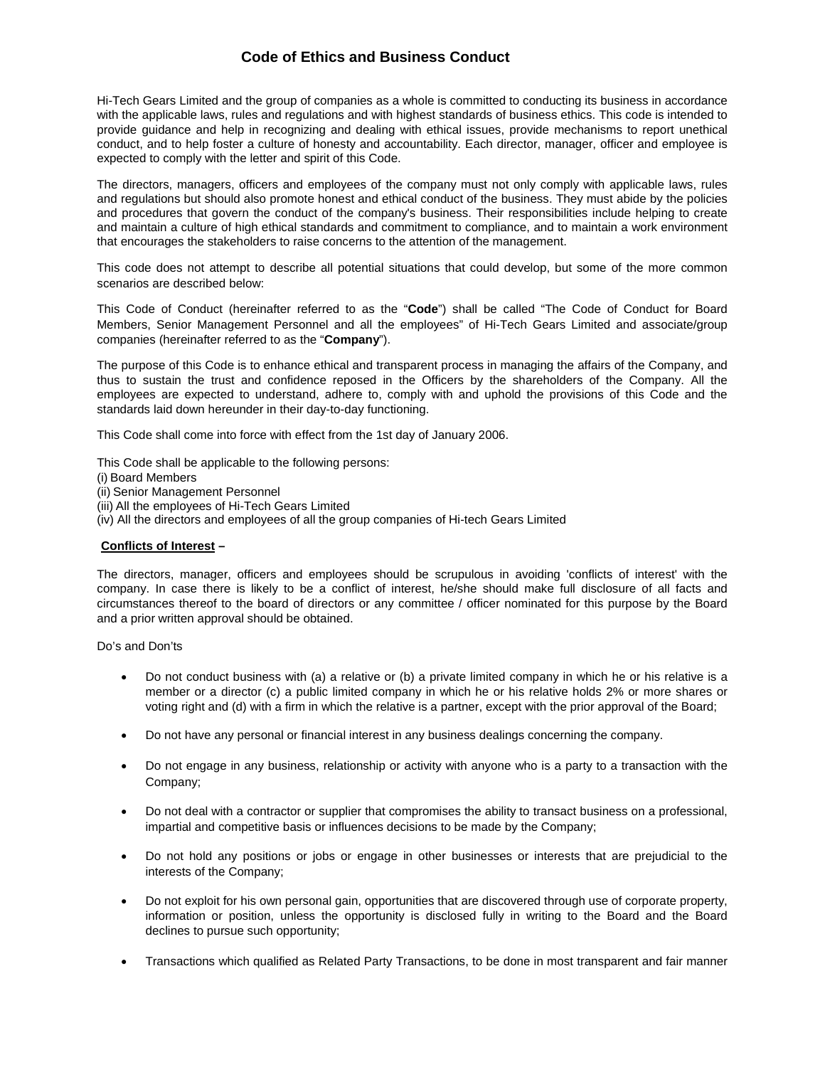# **Code of Ethics and Business Conduct**

Hi-Tech Gears Limited and the group of companies as a whole is committed to conducting its business in accordance with the applicable laws, rules and regulations and with highest standards of business ethics. This code is intended to provide guidance and help in recognizing and dealing with ethical issues, provide mechanisms to report unethical conduct, and to help foster a culture of honesty and accountability. Each director, manager, officer and employee is expected to comply with the letter and spirit of this Code.

The directors, managers, officers and employees of the company must not only comply with applicable laws, rules and regulations but should also promote honest and ethical conduct of the business. They must abide by the policies and procedures that govern the conduct of the company's business. Their responsibilities include helping to create and maintain a culture of high ethical standards and commitment to compliance, and to maintain a work environment that encourages the stakeholders to raise concerns to the attention of the management.

This code does not attempt to describe all potential situations that could develop, but some of the more common scenarios are described below:

This Code of Conduct (hereinafter referred to as the "**Code**") shall be called "The Code of Conduct for Board Members, Senior Management Personnel and all the employees" of Hi-Tech Gears Limited and associate/group companies (hereinafter referred to as the "**Company**").

The purpose of this Code is to enhance ethical and transparent process in managing the affairs of the Company, and thus to sustain the trust and confidence reposed in the Officers by the shareholders of the Company. All the employees are expected to understand, adhere to, comply with and uphold the provisions of this Code and the standards laid down hereunder in their day-to-day functioning.

This Code shall come into force with effect from the 1st day of January 2006.

This Code shall be applicable to the following persons:

- (i) Board Members
- (ii) Senior Management Personnel
- (iii) All the employees of Hi-Tech Gears Limited
- (iv) All the directors and employees of all the group companies of Hi-tech Gears Limited

### **Conflicts of Interest –**

The directors, manager, officers and employees should be scrupulous in avoiding 'conflicts of interest' with the company. In case there is likely to be a conflict of interest, he/she should make full disclosure of all facts and circumstances thereof to the board of directors or any committee / officer nominated for this purpose by the Board and a prior written approval should be obtained.

Do's and Don'ts

- Do not conduct business with (a) a relative or (b) a private limited company in which he or his relative is a member or a director (c) a public limited company in which he or his relative holds 2% or more shares or voting right and (d) with a firm in which the relative is a partner, except with the prior approval of the Board;
- Do not have any personal or financial interest in any business dealings concerning the company.
- Do not engage in any business, relationship or activity with anyone who is a party to a transaction with the Company;
- Do not deal with a contractor or supplier that compromises the ability to transact business on a professional, impartial and competitive basis or influences decisions to be made by the Company;
- Do not hold any positions or jobs or engage in other businesses or interests that are prejudicial to the interests of the Company;
- Do not exploit for his own personal gain, opportunities that are discovered through use of corporate property, information or position, unless the opportunity is disclosed fully in writing to the Board and the Board declines to pursue such opportunity;
- Transactions which qualified as Related Party Transactions, to be done in most transparent and fair manner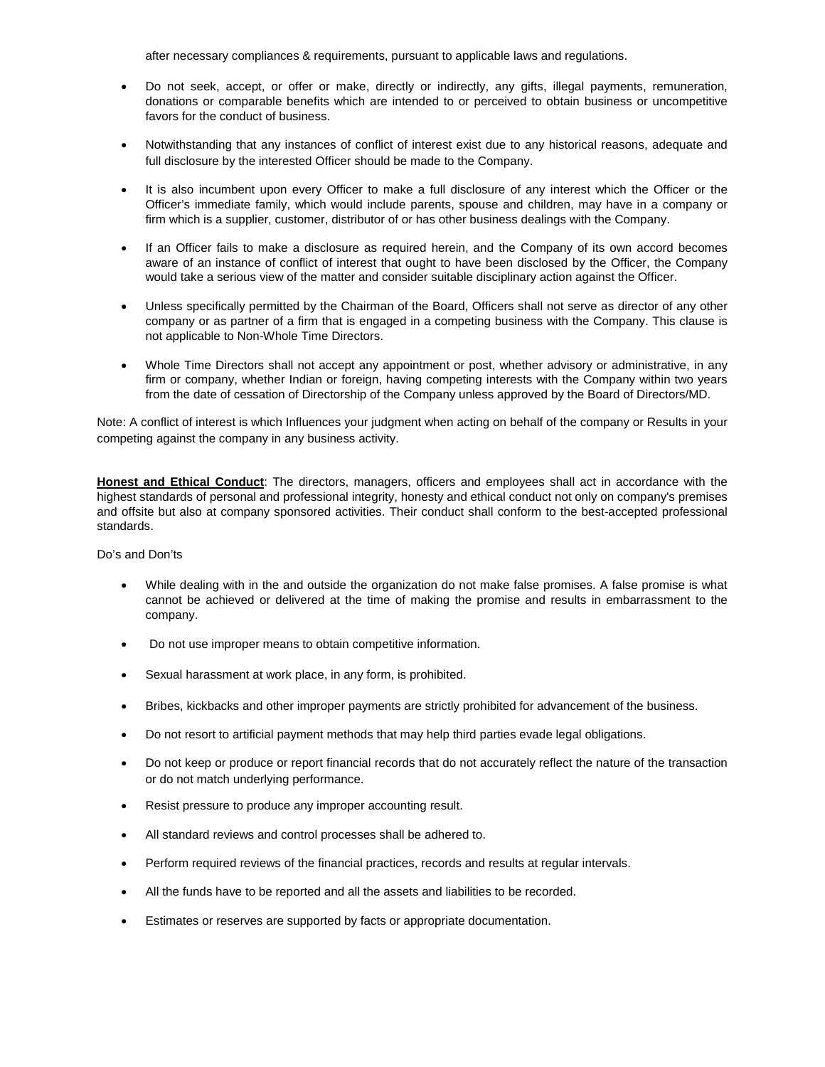after necessary compliances & requirements, pursuant to applicable laws and regulations.

- Do not seek, accept, or offer or make, directly or indirectly, any gifts, illegal payments, remuneration, donations or comparable benefits which are intended to or perceived to obtain business or uncompetitive favors for the conduct of business.
- Notwithstanding that any instances of conflict of interest exist due to any historical reasons, adequate and full disclosure by the interested Officer should be made to the Company.
- It is also incumbent upon every Officer to make a full disclosure of any interest which the Officer or the Officer's immediate family, which would include parents, spouse and children, may have in a company or firm which is a supplier, customer, distributor of or has other business dealings with the Company.
- If an Officer fails to make a disclosure as required herein, and the Company of its own accord becomes aware of an instance of conflict of interest that ought to have been disclosed by the Officer, the Company would take a serious view of the matter and consider suitable disciplinary action against the Officer.
- Unless specifically permitted by the Chairman of the Board, Officers shall not serve as director of any other company or as partner of a firm that is engaged in a competing business with the Company. This clause is not applicable to Non-Whole Time Directors.
- Whole Time Directors shall not accept any appointment or post, whether advisory or administrative, in any firm or company, whether Indian or foreign, having competing interests with the Company within two years from the date of cessation of Directorship of the Company unless approved by the Board of Directors/MD.

Note: A conflict of interest is which Influences your judgment when acting on behalf of the company or Results in your competing against the company in any business activity.

**Honest and Ethical Conduct**: The directors, managers, officers and employees shall act in accordance with the highest standards of personal and professional integrity, honesty and ethical conduct not only on company's premises and offsite but also at company sponsored activities. Their conduct shall conform to the best-accepted professional standards.

Do's and Don'ts

- While dealing with in the and outside the organization do not make false promises. A false promise is what cannot be achieved or delivered at the time of making the promise and results in embarrassment to the company.
- Do not use improper means to obtain competitive information.
- Sexual harassment at work place, in any form, is prohibited.
- Bribes, kickbacks and other improper payments are strictly prohibited for advancement of the business.
- Do not resort to artificial payment methods that may help third parties evade legal obligations.
- Do not keep or produce or report financial records that do not accurately reflect the nature of the transaction or do not match underlying performance.
- Resist pressure to produce any improper accounting result.
- All standard reviews and control processes shall be adhered to.
- Perform required reviews of the financial practices, records and results at regular intervals.
- All the funds have to be reported and all the assets and liabilities to be recorded.
- Estimates or reserves are supported by facts or appropriate documentation.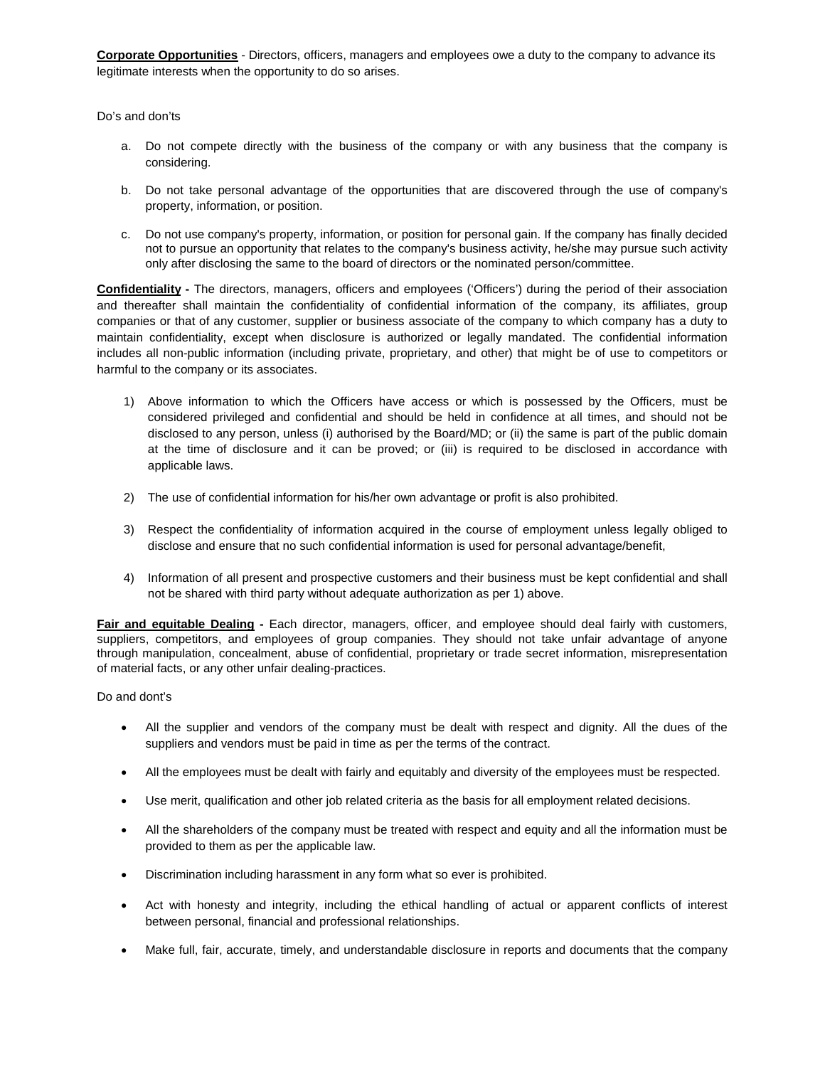**Corporate Opportunities** - Directors, officers, managers and employees owe a duty to the company to advance its legitimate interests when the opportunity to do so arises.

Do's and don'ts

- a. Do not compete directly with the business of the company or with any business that the company is considering.
- b. Do not take personal advantage of the opportunities that are discovered through the use of company's property, information, or position.
- c. Do not use company's property, information, or position for personal gain. If the company has finally decided not to pursue an opportunity that relates to the company's business activity, he/she may pursue such activity only after disclosing the same to the board of directors or the nominated person/committee.

**Confidentiality -** The directors, managers, officers and employees ('Officers') during the period of their association and thereafter shall maintain the confidentiality of confidential information of the company, its affiliates, group companies or that of any customer, supplier or business associate of the company to which company has a duty to maintain confidentiality, except when disclosure is authorized or legally mandated. The confidential information includes all non-public information (including private, proprietary, and other) that might be of use to competitors or harmful to the company or its associates.

- 1) Above information to which the Officers have access or which is possessed by the Officers, must be considered privileged and confidential and should be held in confidence at all times, and should not be disclosed to any person, unless (i) authorised by the Board/MD; or (ii) the same is part of the public domain at the time of disclosure and it can be proved; or (iii) is required to be disclosed in accordance with applicable laws.
- 2) The use of confidential information for his/her own advantage or profit is also prohibited.
- 3) Respect the confidentiality of information acquired in the course of employment unless legally obliged to disclose and ensure that no such confidential information is used for personal advantage/benefit,
- 4) Information of all present and prospective customers and their business must be kept confidential and shall not be shared with third party without adequate authorization as per 1) above.

**Fair and equitable Dealing -** Each director, managers, officer, and employee should deal fairly with customers, suppliers, competitors, and employees of group companies. They should not take unfair advantage of anyone through manipulation, concealment, abuse of confidential, proprietary or trade secret information, misrepresentation of material facts, or any other unfair dealing-practices.

Do and dont's

- All the supplier and vendors of the company must be dealt with respect and dignity. All the dues of the suppliers and vendors must be paid in time as per the terms of the contract.
- All the employees must be dealt with fairly and equitably and diversity of the employees must be respected.
- Use merit, qualification and other job related criteria as the basis for all employment related decisions.
- All the shareholders of the company must be treated with respect and equity and all the information must be provided to them as per the applicable law.
- Discrimination including harassment in any form what so ever is prohibited.
- Act with honesty and integrity, including the ethical handling of actual or apparent conflicts of interest between personal, financial and professional relationships.
- Make full, fair, accurate, timely, and understandable disclosure in reports and documents that the company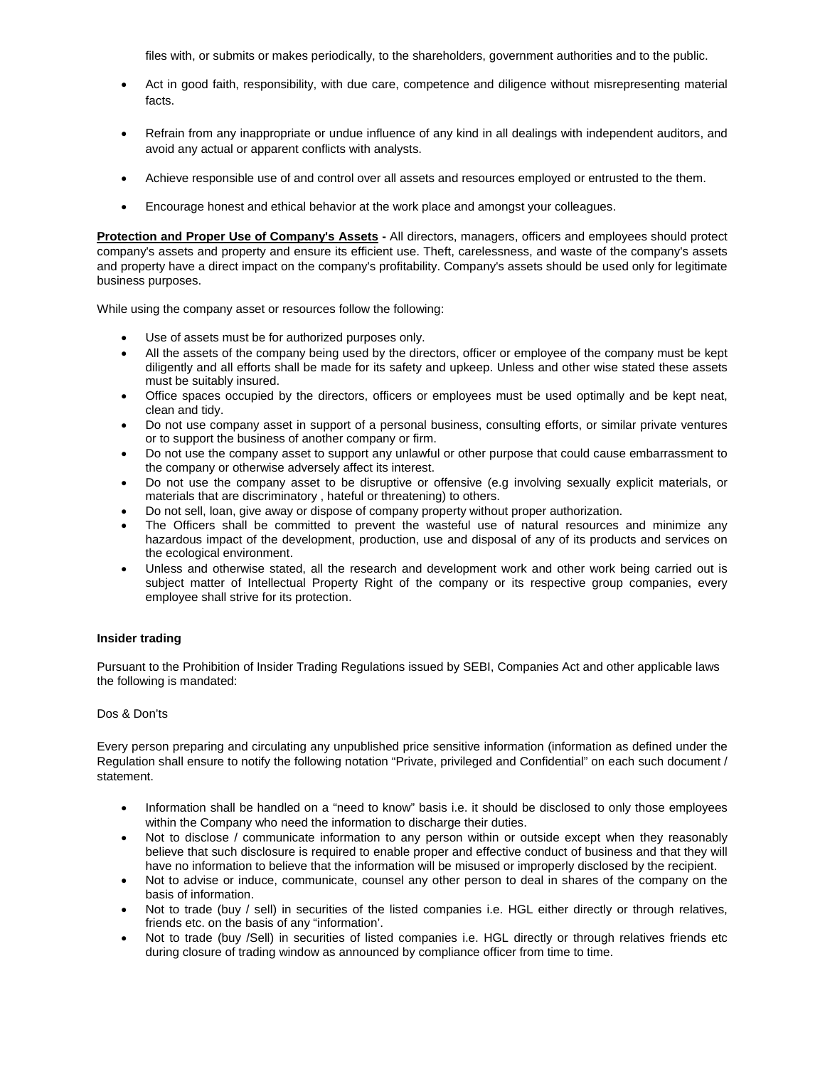files with, or submits or makes periodically, to the shareholders, government authorities and to the public.

- Act in good faith, responsibility, with due care, competence and diligence without misrepresenting material facts.
- Refrain from any inappropriate or undue influence of any kind in all dealings with independent auditors, and avoid any actual or apparent conflicts with analysts.
- Achieve responsible use of and control over all assets and resources employed or entrusted to the them.
- Encourage honest and ethical behavior at the work place and amongst your colleagues.

**Protection and Proper Use of Company's Assets -** All directors, managers, officers and employees should protect company's assets and property and ensure its efficient use. Theft, carelessness, and waste of the company's assets and property have a direct impact on the company's profitability. Company's assets should be used only for legitimate business purposes.

While using the company asset or resources follow the following:

- Use of assets must be for authorized purposes only.
- All the assets of the company being used by the directors, officer or employee of the company must be kept diligently and all efforts shall be made for its safety and upkeep. Unless and other wise stated these assets must be suitably insured.
- Office spaces occupied by the directors, officers or employees must be used optimally and be kept neat, clean and tidy.
- Do not use company asset in support of a personal business, consulting efforts, or similar private ventures or to support the business of another company or firm.
- Do not use the company asset to support any unlawful or other purpose that could cause embarrassment to the company or otherwise adversely affect its interest.
- Do not use the company asset to be disruptive or offensive (e.g involving sexually explicit materials, or materials that are discriminatory , hateful or threatening) to others.
- Do not sell, loan, give away or dispose of company property without proper authorization.
- The Officers shall be committed to prevent the wasteful use of natural resources and minimize any hazardous impact of the development, production, use and disposal of any of its products and services on the ecological environment.
- Unless and otherwise stated, all the research and development work and other work being carried out is subject matter of Intellectual Property Right of the company or its respective group companies, every employee shall strive for its protection.

# **Insider trading**

Pursuant to the Prohibition of Insider Trading Regulations issued by SEBI, Companies Act and other applicable laws the following is mandated:

## Dos & Don'ts

Every person preparing and circulating any unpublished price sensitive information (information as defined under the Regulation shall ensure to notify the following notation "Private, privileged and Confidential" on each such document / statement.

- Information shall be handled on a "need to know" basis i.e. it should be disclosed to only those employees within the Company who need the information to discharge their duties.
- Not to disclose / communicate information to any person within or outside except when they reasonably believe that such disclosure is required to enable proper and effective conduct of business and that they will have no information to believe that the information will be misused or improperly disclosed by the recipient.
- Not to advise or induce, communicate, counsel any other person to deal in shares of the company on the basis of information.
- Not to trade (buy / sell) in securities of the listed companies i.e. HGL either directly or through relatives, friends etc. on the basis of any "information'.
- Not to trade (buy /Sell) in securities of listed companies i.e. HGL directly or through relatives friends etc during closure of trading window as announced by compliance officer from time to time.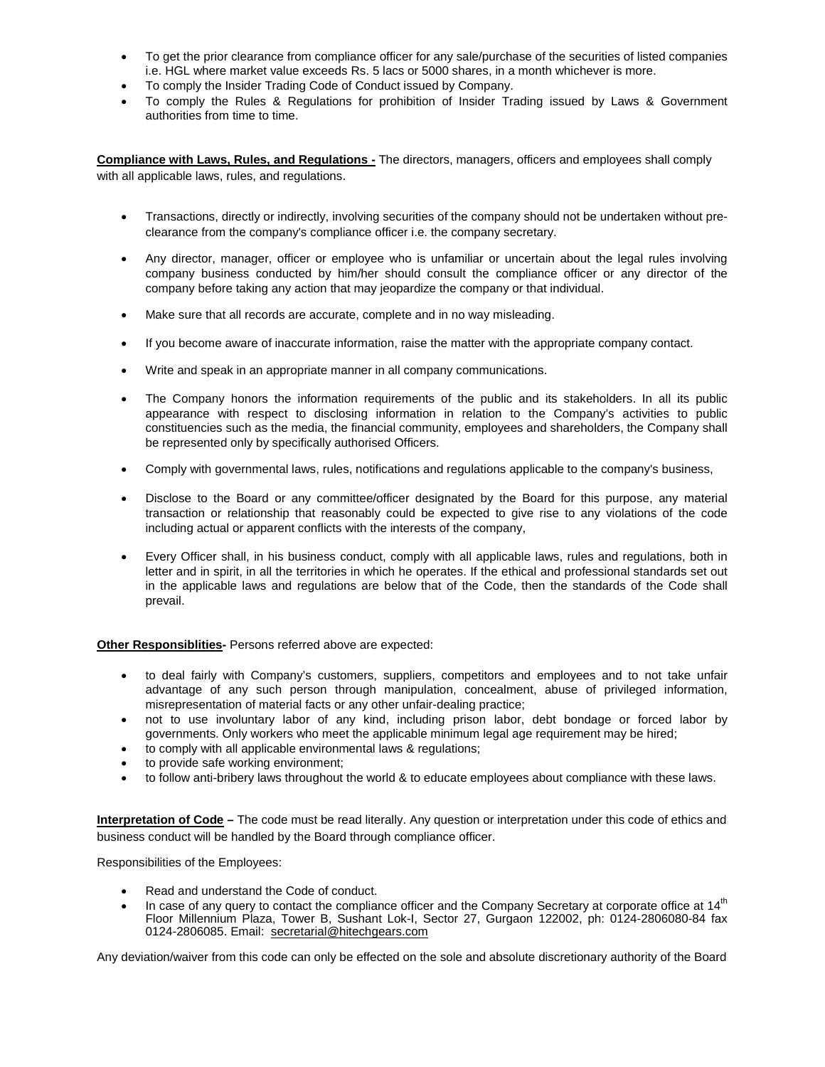- To get the prior clearance from compliance officer for any sale/purchase of the securities of listed companies i.e. HGL where market value exceeds Rs. 5 lacs or 5000 shares, in a month whichever is more.
- To comply the Insider Trading Code of Conduct issued by Company.
- To comply the Rules & Regulations for prohibition of Insider Trading issued by Laws & Government authorities from time to time.

**Compliance with Laws, Rules, and Regulations -** The directors, managers, officers and employees shall comply with all applicable laws, rules, and regulations.

- Transactions, directly or indirectly, involving securities of the company should not be undertaken without preclearance from the company's compliance officer i.e. the company secretary.
- Any director, manager, officer or employee who is unfamiliar or uncertain about the legal rules involving company business conducted by him/her should consult the compliance officer or any director of the company before taking any action that may jeopardize the company or that individual.
- Make sure that all records are accurate, complete and in no way misleading.
- If you become aware of inaccurate information, raise the matter with the appropriate company contact.
- Write and speak in an appropriate manner in all company communications.
- The Company honors the information requirements of the public and its stakeholders. In all its public appearance with respect to disclosing information in relation to the Company's activities to public constituencies such as the media, the financial community, employees and shareholders, the Company shall be represented only by specifically authorised Officers.
- Comply with governmental laws, rules, notifications and regulations applicable to the company's business,
- Disclose to the Board or any committee/officer designated by the Board for this purpose, any material transaction or relationship that reasonably could be expected to give rise to any violations of the code including actual or apparent conflicts with the interests of the company,
- Every Officer shall, in his business conduct, comply with all applicable laws, rules and regulations, both in letter and in spirit, in all the territories in which he operates. If the ethical and professional standards set out in the applicable laws and regulations are below that of the Code, then the standards of the Code shall prevail.

# **Other Responsiblities-** Persons referred above are expected:

- to deal fairly with Company's customers, suppliers, competitors and employees and to not take unfair advantage of any such person through manipulation, concealment, abuse of privileged information, misrepresentation of material facts or any other unfair-dealing practice;
- not to use involuntary labor of any kind, including prison labor, debt bondage or forced labor by governments. Only workers who meet the applicable minimum legal age requirement may be hired;
- to comply with all applicable environmental laws & regulations;
- to provide safe working environment;
- to follow anti-bribery laws throughout the world & to educate employees about compliance with these laws.

**Interpretation of Code –** The code must be read literally. Any question or interpretation under this code of ethics and business conduct will be handled by the Board through compliance officer.

Responsibilities of the Employees:

- Read and understand the Code of conduct.
- In case of any query to contact the compliance officer and the Company Secretary at corporate office at  $14<sup>th</sup>$ Floor Millennium Plaza, Tower B, Sushant Lok-I, Sector 27, Gurgaon 122002, ph: 0124-2806080-84 fax 0124-2806085. Email: secretarial@hitechgears.com

Any deviation/waiver from this code can only be effected on the sole and absolute discretionary authority of the Board